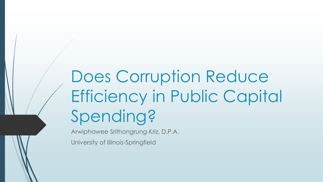# Does Corruption Reduce Efficiency in Public Capital Spending?

Arwiphawee Srithongrung-Kriz, D.P.A.

University of Illinois-Springfield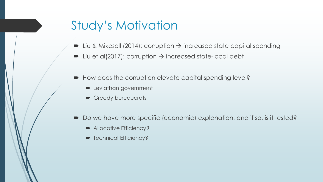#### Study's Motivation

- Liu & Mikesell (2014): corruption  $\rightarrow$  increased state capital spending
- Liu et al(2017): corruption  $\rightarrow$  increased state-local debt
- How does the corruption elevate capital spending level?
	- **D** Leviathan government
	- Greedy bureaucrats
- Do we have more specific (economic) explanation; and if so, is it tested?
	- Allocative Efficiency?
	- Technical Efficiency?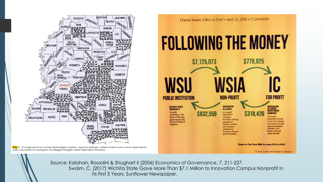





Source: Kalahan, Rossolini & Shughart II (2006) *Economics of Governance*, 7, 211-227. Swaim, C. (2017) Wichita State Gave More Than \$7.1 Million to Innovation Campus Nonprofit in Its First 3 Years. Sunflower Newspaper.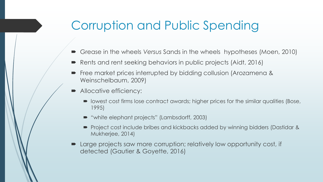## Corruption and Public Spending

- Grease in the wheels *Versus* Sands in the wheels hypotheses (Moen, 2010)
- Rents and rent seeking behaviors in public projects (Aidt, 2016)
- Free market prices interrupted by bidding collusion (Arozamena & Weinschelbaum, 2009)
- Allocative efficiency:
	- lowest cost firms lose contract awards; higher prices for the similar qualities (Bose, 1995)
	- "white elephant projects" (Lambsdorff, 2003)
	- Project cost include bribes and kickbacks added by winning bidders (Dastidar & Mukherjee, 2014)
- Large projects saw more corruption; relatively low opportunity cost, if detected (Gautier & Goyette, 2016)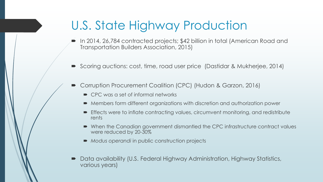#### U.S. State Highway Production

- In 2014, 26,784 contracted projects; \$42 billion in total (American Road and Transportation Builders Association, 2015)
- Scoring auctions: cost, time, road user price (Dastidar & Mukherjee, 2014)
- Corruption Procurement Coalition (CPC) (Hudon & Garzon, 2016)
	- CPC was a set of informal networks
	- Members form different organizations with discretion and authorization power
	- Effects were to inflate contracting values, circumvent monitoring, and redistribute rents
	- When the Canadian government dismantled the CPC infrastructure contract values were reduced by 20-30%
	- *Modus operandi* in public construction projects
- Data availability (U.S. Federal Highway Administration, Highway Statistics, various years)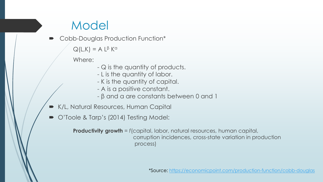## Model

Cobb-Douglas Production Function\*

 $Q(L,K) = A L^{\beta} K^{\alpha}$ 

Where:

- Q is the quantity of products.
- L is the quantity of labor.
- K is the quantity of capital.
- A is a positive constant.
- β and α are constants between 0 and 1
- K/L, Natural Resources, Human Capital
- O'Toole & Tarp's (2014) Testing Model:

**Productivity growth** = *f*(capital, labor, natural resources, human capital, corruption incidences, cross-state variation in production process)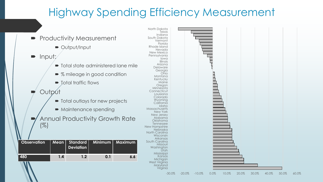#### Highway Spending Efficiency Measurement



-30.0% -20.0% -10.0% 0.0% 10.0% 20.0% 30.0% 40.0% 50.0% 60.0%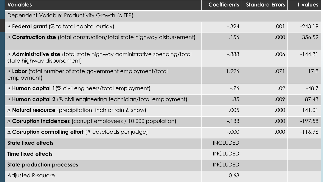| <b>Variables</b>                                                                                               | <b>Coefficients</b> | <b>Standard Errors</b> | t-values  |
|----------------------------------------------------------------------------------------------------------------|---------------------|------------------------|-----------|
| Dependent Variable: Productivity Growth $( \Delta TFP )$                                                       |                     |                        |           |
| $\Delta$ Federal grant (% to total capital outlay)                                                             | $-.324$             | .001                   | $-243.19$ |
| $\Delta$ Construction size (total construction/total state highway disbursement)                               | .156                | .000                   | 356.59    |
| $\Delta$ Administrative size (total state highway administrative spending/total<br>state highway disbursement) | $-0.888$            | .006                   | $-144.31$ |
| $\Delta$ Labor (total number of state government employment/total<br>employment)                               | 1.226               | .071                   | 17.8      |
| $\Delta$ Human capital 1(% civil engineers/total employment)                                                   | $-.76$              | .02                    | $-48.7$   |
| $\Delta$ Human capital 2 (% civil engineering technician/total employment)                                     | .85                 | .009                   | 87.43     |
| $\triangle$ <b>Natural resource</b> (precipitation, inch of rain & snow)                                       | .005                | .000                   | 141.01    |
| $\triangle$ Corruption incidences (corrupt employees / 10,000 population)                                      | $-133$              | .000                   | $-197.58$ |
| $\Delta$ Corruption controlling effort (# caseloads per judge)                                                 | $-.000$             | .000                   | $-116.96$ |
| <b>State fixed effects</b>                                                                                     | <b>INCLUDED</b>     |                        |           |
| <b>Time fixed effects</b>                                                                                      | <b>INCLUDED</b>     |                        |           |
| <b>State production processes</b>                                                                              | <b>INCLUDED</b>     |                        |           |
| Adjusted R-square                                                                                              | 0.68                |                        |           |